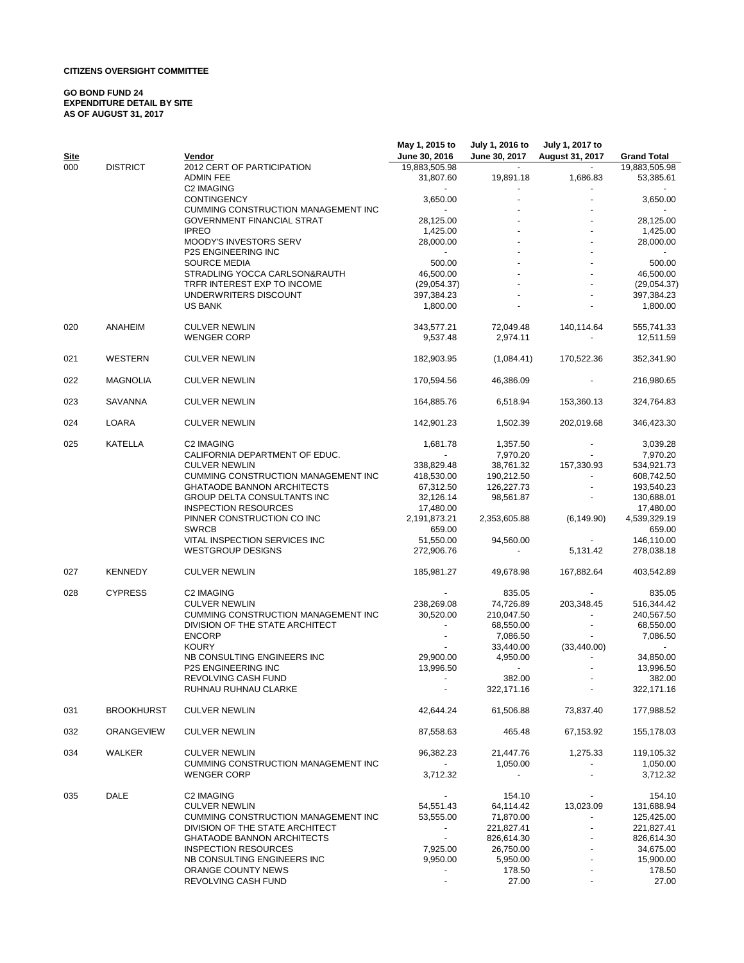### **CITIZENS OVERSIGHT COMMITTEE**

#### **GO BOND FUND 24 EXPENDITURE DETAIL BY SITE AS OF AUGUST 31, 2017**

|             |                   |                                            | May 1, 2015 to           | July 1, 2016 to          | July 1, 2017 to |                    |
|-------------|-------------------|--------------------------------------------|--------------------------|--------------------------|-----------------|--------------------|
| <b>Site</b> |                   | Vendor                                     | June 30, 2016            | June 30, 2017            | August 31, 2017 | <b>Grand Total</b> |
| 000         | <b>DISTRICT</b>   | 2012 CERT OF PARTICIPATION                 | 19,883,505.98            |                          |                 | 19,883,505.98      |
|             |                   | <b>ADMIN FEE</b>                           | 31,807.60                | 19,891.18                | 1,686.83        | 53,385.61          |
|             |                   | C2 IMAGING                                 |                          |                          |                 |                    |
|             |                   | <b>CONTINGENCY</b>                         | 3,650.00                 |                          |                 | 3,650.00           |
|             |                   | <b>CUMMING CONSTRUCTION MANAGEMENT INC</b> |                          |                          |                 |                    |
|             |                   | <b>GOVERNMENT FINANCIAL STRAT</b>          | 28,125.00                |                          |                 | 28,125.00          |
|             |                   | <b>IPREO</b>                               | 1,425.00                 |                          |                 | 1,425.00           |
|             |                   | MOODY'S INVESTORS SERV                     | 28,000.00                |                          |                 | 28,000.00          |
|             |                   | <b>P2S ENGINEERING INC</b>                 | $\sim$                   |                          |                 |                    |
|             |                   | <b>SOURCE MEDIA</b>                        | 500.00                   |                          |                 | 500.00             |
|             |                   | STRADLING YOCCA CARLSON&RAUTH              | 46,500.00                |                          |                 | 46,500.00          |
|             |                   |                                            |                          |                          |                 |                    |
|             |                   | TRFR INTEREST EXP TO INCOME                | (29,054.37)              |                          |                 | (29,054.37)        |
|             |                   | UNDERWRITERS DISCOUNT                      | 397,384.23               |                          |                 | 397,384.23         |
|             |                   | <b>US BANK</b>                             | 1,800.00                 |                          |                 | 1,800.00           |
| 020         | ANAHEIM           | <b>CULVER NEWLIN</b>                       | 343,577.21               | 72,049.48                | 140,114.64      | 555,741.33         |
|             |                   | <b>WENGER CORP</b>                         | 9,537.48                 | 2,974.11                 |                 | 12,511.59          |
|             |                   |                                            |                          |                          |                 |                    |
| 021         | WESTERN           | <b>CULVER NEWLIN</b>                       | 182,903.95               | (1,084.41)               | 170,522.36      | 352,341.90         |
|             |                   |                                            |                          |                          |                 |                    |
| 022         | <b>MAGNOLIA</b>   | <b>CULVER NEWLIN</b>                       | 170,594.56               | 46,386.09                |                 | 216,980.65         |
|             |                   |                                            |                          |                          |                 |                    |
| 023         | <b>SAVANNA</b>    | <b>CULVER NEWLIN</b>                       | 164,885.76               | 6,518.94                 | 153,360.13      | 324,764.83         |
|             |                   |                                            |                          |                          |                 |                    |
| 024         | LOARA             | <b>CULVER NEWLIN</b>                       | 142,901.23               | 1,502.39                 | 202,019.68      | 346,423.30         |
|             |                   |                                            |                          |                          |                 |                    |
| 025         | <b>KATELLA</b>    | C2 IMAGING                                 | 1,681.78                 | 1,357.50                 |                 | 3,039.28           |
|             |                   | CALIFORNIA DEPARTMENT OF EDUC.             |                          | 7,970.20                 |                 | 7,970.20           |
|             |                   | <b>CULVER NEWLIN</b>                       | 338,829.48               | 38,761.32                | 157,330.93      | 534,921.73         |
|             |                   | <b>CUMMING CONSTRUCTION MANAGEMENT INC</b> | 418,530.00               | 190,212.50               |                 | 608,742.50         |
|             |                   | <b>GHATAODE BANNON ARCHITECTS</b>          | 67,312.50                | 126,227.73               |                 | 193,540.23         |
|             |                   | GROUP DELTA CONSULTANTS INC                | 32,126.14                | 98,561.87                |                 | 130,688.01         |
|             |                   | <b>INSPECTION RESOURCES</b>                | 17,480.00                |                          |                 | 17,480.00          |
|             |                   | PINNER CONSTRUCTION CO INC                 | 2,191,873.21             | 2,353,605.88             | (6, 149.90)     | 4,539,329.19       |
|             |                   | <b>SWRCB</b>                               | 659.00                   |                          |                 | 659.00             |
|             |                   | VITAL INSPECTION SERVICES INC              | 51,550.00                | 94,560.00                |                 | 146,110.00         |
|             |                   | <b>WESTGROUP DESIGNS</b>                   | 272,906.76               | $\overline{\phantom{a}}$ | 5,131.42        | 278,038.18         |
|             |                   |                                            |                          |                          |                 |                    |
| 027         | <b>KENNEDY</b>    | <b>CULVER NEWLIN</b>                       | 185,981.27               | 49,678.98                | 167,882.64      | 403,542.89         |
|             | <b>CYPRESS</b>    |                                            |                          |                          |                 |                    |
| 028         |                   | C2 IMAGING                                 |                          | 835.05                   |                 | 835.05             |
|             |                   | <b>CULVER NEWLIN</b>                       | 238,269.08               | 74,726.89                | 203,348.45      | 516,344.42         |
|             |                   | CUMMING CONSTRUCTION MANAGEMENT INC        | 30,520.00                | 210,047.50               |                 | 240,567.50         |
|             |                   | DIVISION OF THE STATE ARCHITECT            | $\blacksquare$           | 68,550.00                |                 | 68,550.00          |
|             |                   | <b>ENCORP</b>                              |                          | 7,086.50                 |                 | 7,086.50           |
|             |                   | <b>KOURY</b>                               |                          | 33,440.00                | (33, 440.00)    |                    |
|             |                   | NB CONSULTING ENGINEERS INC                | 29,900.00                | 4,950.00                 |                 | 34,850.00          |
|             |                   | P2S ENGINEERING INC                        | 13,996.50                | $\sim$                   |                 | 13,996.50          |
|             |                   | REVOLVING CASH FUND                        | $\sim$                   | 382.00                   |                 | 382.00             |
|             |                   | RUHNAU RUHNAU CLARKE                       |                          | 322,171.16               |                 | 322,171.16         |
|             |                   |                                            |                          |                          |                 |                    |
| 031         | <b>BROOKHURST</b> | <b>CULVER NEWLIN</b>                       | 42,644.24                | 61,506.88                | 73,837.40       | 177,988.52         |
|             |                   |                                            |                          |                          |                 |                    |
| 032         | ORANGEVIEW        | <b>CULVER NEWLIN</b>                       | 87,558.63                | 465.48                   | 67,153.92       | 155,178.03         |
| 034         | WALKER            | <b>CULVER NEWLIN</b>                       | 96,382.23                | 21,447.76                | 1,275.33        | 119,105.32         |
|             |                   | CUMMING CONSTRUCTION MANAGEMENT INC        |                          | 1,050.00                 |                 | 1,050.00           |
|             |                   | <b>WENGER CORP</b>                         | 3,712.32                 | $\overline{\phantom{a}}$ |                 | 3,712.32           |
|             |                   |                                            |                          |                          |                 |                    |
| 035         | DALE              | C2 IMAGING                                 |                          | 154.10                   |                 | 154.10             |
|             |                   | <b>CULVER NEWLIN</b>                       | 54,551.43                | 64,114.42                | 13,023.09       | 131,688.94         |
|             |                   | CUMMING CONSTRUCTION MANAGEMENT INC        | 53,555.00                | 71,870.00                |                 | 125,425.00         |
|             |                   | DIVISION OF THE STATE ARCHITECT            | $\sim$                   | 221,827.41               |                 | 221,827.41         |
|             |                   |                                            |                          |                          |                 |                    |
|             |                   | <b>GHATAODE BANNON ARCHITECTS</b>          | $\sim$                   | 826,614.30               |                 | 826,614.30         |
|             |                   | <b>INSPECTION RESOURCES</b>                | 7,925.00                 | 26,750.00                |                 | 34,675.00          |
|             |                   | NB CONSULTING ENGINEERS INC                | 9,950.00                 | 5,950.00                 |                 | 15,900.00          |
|             |                   | ORANGE COUNTY NEWS                         | $\sim$                   | 178.50                   |                 | 178.50             |
|             |                   | REVOLVING CASH FUND                        | $\overline{\phantom{a}}$ | 27.00                    |                 | 27.00              |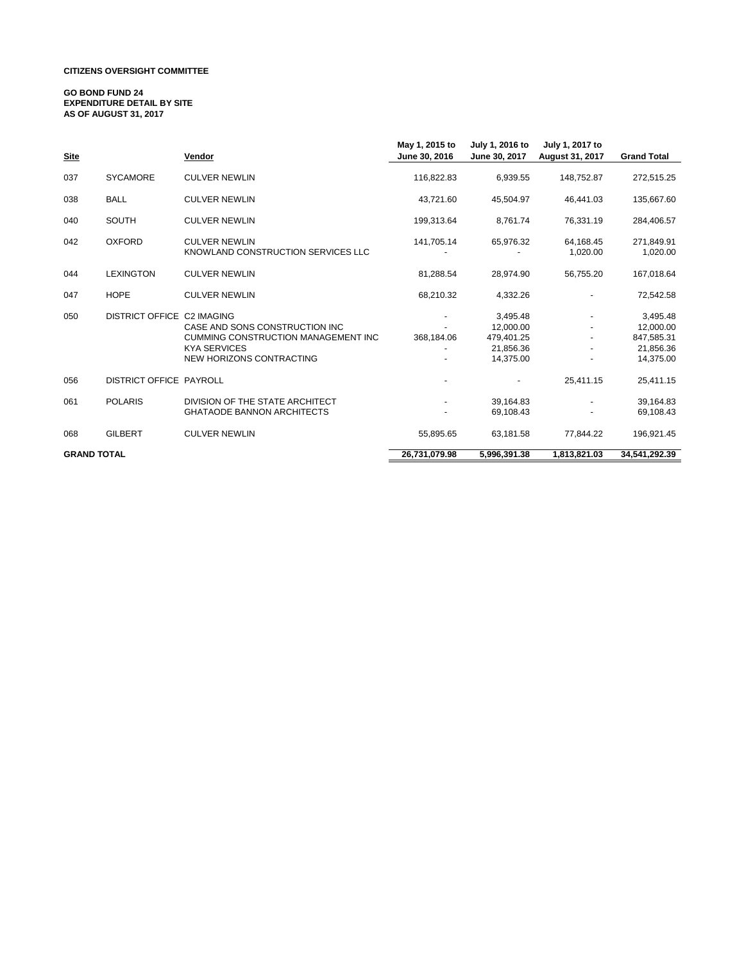### **CITIZENS OVERSIGHT COMMITTEE**

#### **GO BOND FUND 24 EXPENDITURE DETAIL BY SITE AS OF AUGUST 31, 2017**

| <b>Site</b>        |                                | Vendor                                                                                                                          | May 1, 2015 to<br>June 30, 2016 | July 1, 2016 to<br>June 30, 2017                              | July 1, 2017 to<br>August 31, 2017 | <b>Grand Total</b>                                            |
|--------------------|--------------------------------|---------------------------------------------------------------------------------------------------------------------------------|---------------------------------|---------------------------------------------------------------|------------------------------------|---------------------------------------------------------------|
| 037                | <b>SYCAMORE</b>                | <b>CULVER NEWLIN</b>                                                                                                            | 116,822.83                      | 6,939.55                                                      | 148,752.87                         | 272,515.25                                                    |
| 038                | <b>BALL</b>                    | <b>CULVER NEWLIN</b>                                                                                                            | 43,721.60                       | 45,504.97                                                     | 46,441.03                          | 135,667.60                                                    |
| 040                | <b>SOUTH</b>                   | <b>CULVER NEWLIN</b>                                                                                                            | 199,313.64                      | 8,761.74                                                      | 76,331.19                          | 284,406.57                                                    |
| 042                | <b>OXFORD</b>                  | <b>CULVER NEWLIN</b><br>KNOWLAND CONSTRUCTION SERVICES LLC                                                                      | 141,705.14                      | 65,976.32                                                     | 64,168.45<br>1,020.00              | 271,849.91<br>1,020.00                                        |
| 044                | <b>LEXINGTON</b>               | <b>CULVER NEWLIN</b>                                                                                                            | 81,288.54                       | 28,974.90                                                     | 56,755.20                          | 167,018.64                                                    |
| 047                | <b>HOPE</b>                    | <b>CULVER NEWLIN</b>                                                                                                            | 68,210.32                       | 4,332.26                                                      |                                    | 72,542.58                                                     |
| 050                | DISTRICT OFFICE C2 IMAGING     | CASE AND SONS CONSTRUCTION INC<br><b>CUMMING CONSTRUCTION MANAGEMENT INC</b><br><b>KYA SERVICES</b><br>NEW HORIZONS CONTRACTING | 368,184.06                      | 3,495.48<br>12.000.00<br>479,401.25<br>21.856.36<br>14,375.00 |                                    | 3,495.48<br>12,000.00<br>847,585.31<br>21,856.36<br>14,375.00 |
| 056                | <b>DISTRICT OFFICE PAYROLL</b> |                                                                                                                                 |                                 |                                                               | 25,411.15                          | 25,411.15                                                     |
| 061                | <b>POLARIS</b>                 | DIVISION OF THE STATE ARCHITECT<br><b>GHATAODE BANNON ARCHITECTS</b>                                                            |                                 | 39,164.83<br>69,108.43                                        |                                    | 39,164.83<br>69,108.43                                        |
| 068                | <b>GILBERT</b>                 | <b>CULVER NEWLIN</b>                                                                                                            | 55,895.65                       | 63,181.58                                                     | 77,844.22                          | 196,921.45                                                    |
| <b>GRAND TOTAL</b> |                                |                                                                                                                                 | 26,731,079.98                   | 5,996,391.38                                                  | 1,813,821.03                       | 34,541,292.39                                                 |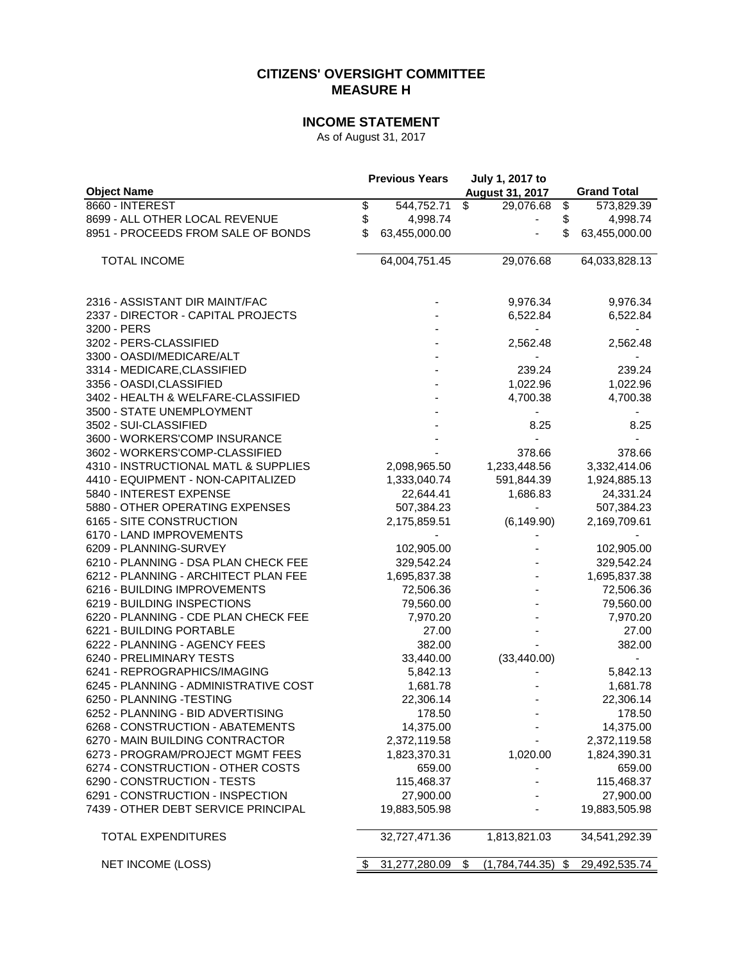## **CITIZENS' OVERSIGHT COMMITTEE MEASURE H**

# **INCOME STATEMENT**

As of August 31, 2017

|                                       | <b>Previous Years</b> |               | July 1, 2017 to |                          |    |                    |
|---------------------------------------|-----------------------|---------------|-----------------|--------------------------|----|--------------------|
| <b>Object Name</b>                    |                       |               |                 | <b>August 31, 2017</b>   |    | <b>Grand Total</b> |
| 8660 - INTEREST                       | \$                    | 544,752.71    | \$              | 29,076.68                | \$ | 573,829.39         |
| 8699 - ALL OTHER LOCAL REVENUE        | \$                    | 4,998.74      |                 |                          | \$ | 4,998.74           |
| 8951 - PROCEEDS FROM SALE OF BONDS    | \$                    | 63,455,000.00 |                 |                          | \$ | 63,455,000.00      |
|                                       |                       |               |                 |                          |    |                    |
| <b>TOTAL INCOME</b>                   |                       | 64,004,751.45 |                 | 29,076.68                |    | 64,033,828.13      |
|                                       |                       |               |                 |                          |    |                    |
|                                       |                       |               |                 |                          |    |                    |
| 2316 - ASSISTANT DIR MAINT/FAC        |                       |               |                 | 9,976.34                 |    | 9,976.34           |
| 2337 - DIRECTOR - CAPITAL PROJECTS    |                       |               |                 | 6,522.84                 |    | 6,522.84           |
| 3200 - PERS                           |                       |               |                 |                          |    |                    |
| 3202 - PERS-CLASSIFIED                |                       |               |                 | 2,562.48                 |    | 2,562.48           |
| 3300 - OASDI/MEDICARE/ALT             |                       |               |                 |                          |    |                    |
| 3314 - MEDICARE, CLASSIFIED           |                       |               |                 | 239.24                   |    | 239.24             |
| 3356 - OASDI, CLASSIFIED              |                       |               |                 | 1,022.96                 |    | 1,022.96           |
| 3402 - HEALTH & WELFARE-CLASSIFIED    |                       |               |                 | 4,700.38                 |    | 4,700.38           |
| 3500 - STATE UNEMPLOYMENT             |                       |               |                 |                          |    |                    |
| 3502 - SUI-CLASSIFIED                 |                       |               |                 | 8.25                     |    | 8.25               |
| 3600 - WORKERS'COMP INSURANCE         |                       |               |                 |                          |    |                    |
| 3602 - WORKERS'COMP-CLASSIFIED        |                       |               |                 | 378.66                   |    | 378.66             |
| 4310 - INSTRUCTIONAL MATL & SUPPLIES  |                       | 2,098,965.50  |                 | 1,233,448.56             |    | 3,332,414.06       |
| 4410 - EQUIPMENT - NON-CAPITALIZED    |                       | 1,333,040.74  |                 | 591,844.39               |    | 1,924,885.13       |
| 5840 - INTEREST EXPENSE               |                       | 22,644.41     |                 | 1,686.83                 |    | 24,331.24          |
| 5880 - OTHER OPERATING EXPENSES       |                       | 507,384.23    |                 | $\overline{\phantom{a}}$ |    | 507,384.23         |
| 6165 - SITE CONSTRUCTION              |                       | 2,175,859.51  |                 | (6, 149.90)              |    | 2,169,709.61       |
| 6170 - LAND IMPROVEMENTS              |                       |               |                 |                          |    |                    |
| 6209 - PLANNING-SURVEY                |                       | 102,905.00    |                 |                          |    | 102,905.00         |
| 6210 - PLANNING - DSA PLAN CHECK FEE  |                       | 329,542.24    |                 |                          |    | 329,542.24         |
| 6212 - PLANNING - ARCHITECT PLAN FEE  |                       | 1,695,837.38  |                 |                          |    | 1,695,837.38       |
| 6216 - BUILDING IMPROVEMENTS          |                       | 72,506.36     |                 |                          |    | 72,506.36          |
| 6219 - BUILDING INSPECTIONS           |                       | 79,560.00     |                 |                          |    | 79,560.00          |
| 6220 - PLANNING - CDE PLAN CHECK FEE  |                       | 7,970.20      |                 |                          |    |                    |
|                                       |                       |               |                 |                          |    | 7,970.20           |
| 6221 - BUILDING PORTABLE              |                       | 27.00         |                 |                          |    | 27.00              |
| 6222 - PLANNING - AGENCY FEES         |                       | 382.00        |                 |                          |    | 382.00             |
| 6240 - PRELIMINARY TESTS              |                       | 33,440.00     |                 | (33, 440.00)             |    |                    |
| 6241 - REPROGRAPHICS/IMAGING          |                       | 5,842.13      |                 |                          |    | 5,842.13           |
| 6245 - PLANNING - ADMINISTRATIVE COST |                       | 1,681.78      |                 |                          |    | 1,681.78           |
| 6250 - PLANNING - TESTING             |                       | 22,306.14     |                 |                          |    | 22,306.14          |
| 6252 - PLANNING - BID ADVERTISING     |                       | 178.50        |                 |                          |    | 178.50             |
| 6268 - CONSTRUCTION - ABATEMENTS      |                       | 14,375.00     |                 |                          |    | 14,375.00          |
| 6270 - MAIN BUILDING CONTRACTOR       |                       | 2,372,119.58  |                 |                          |    | 2,372,119.58       |
| 6273 - PROGRAM/PROJECT MGMT FEES      |                       | 1,823,370.31  |                 | 1,020.00                 |    | 1,824,390.31       |
| 6274 - CONSTRUCTION - OTHER COSTS     |                       | 659.00        |                 |                          |    | 659.00             |
| 6290 - CONSTRUCTION - TESTS           |                       | 115,468.37    |                 |                          |    | 115,468.37         |
| 6291 - CONSTRUCTION - INSPECTION      |                       | 27,900.00     |                 |                          |    | 27,900.00          |
| 7439 - OTHER DEBT SERVICE PRINCIPAL   |                       | 19,883,505.98 |                 |                          |    | 19,883,505.98      |
| <b>TOTAL EXPENDITURES</b>             |                       | 32,727,471.36 |                 | 1,813,821.03             |    | 34,541,292.39      |
| <b>NET INCOME (LOSS)</b>              |                       | 31,277,280.09 | \$              | (1,784,744.35)           | \$ | 29,492,535.74      |
|                                       |                       |               |                 |                          |    |                    |